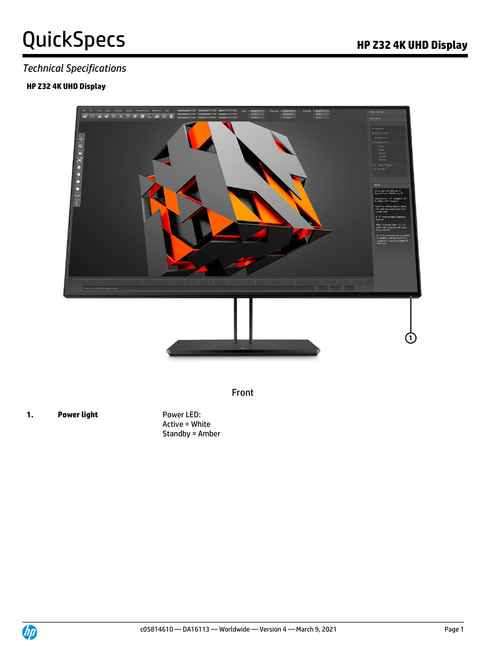# QuickSpecs **Manufature Contract Contract Contract Contract Contract Contract Contract Contract Contract Contract Contract Contract Contract Contract Contract Contract Contract Contract Contract Contract Contract Contract C**

### *Technical Specifications*

#### **HP Z32 4K UHD Display**



Front

**1. Power light** Power LED:

Active = White Standby = Amber

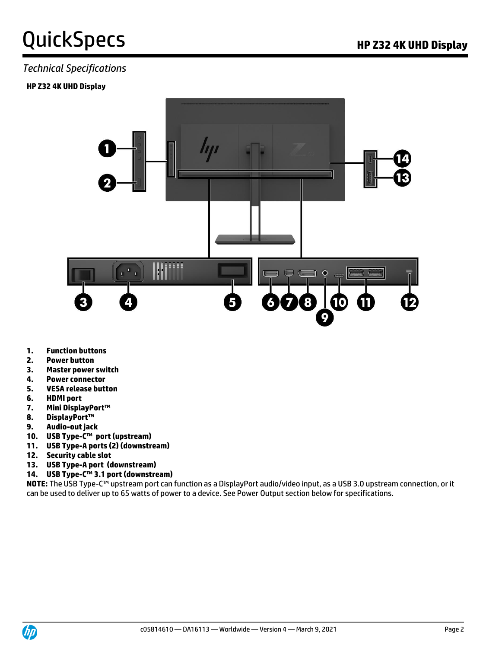# QuickSpecs **Manufature Controller Controller Controller Controller Controller Controller Properties Area Controller**

### *Technical Specifications*

#### **HP Z32 4K UHD Display**



- **1. Function buttons**
- **2. Power button**
- **3. Master power switch**
- **4. Power connector**
- **5. VESA release button**
- **6. HDMI port**
- **7. Mini DisplayPort™**
- **8. DisplayPort™**
- **9. Audio-out jack**
- **10. USB Type-C™ port (upstream)**
- **11. USB Type-A ports (2) (downstream)**
- **12. Security cable slot**
- **13. USB Type-A port (downstream)**
- **14. USB Type-C™ 3.1 port (downstream)**

**NOTE:** The USB Type-C™ upstream port can function as a DisplayPort audio/video input, as a USB 3.0 upstream connection, or it can be used to deliver up to 65 watts of power to a device. See Power Output section below for specifications.

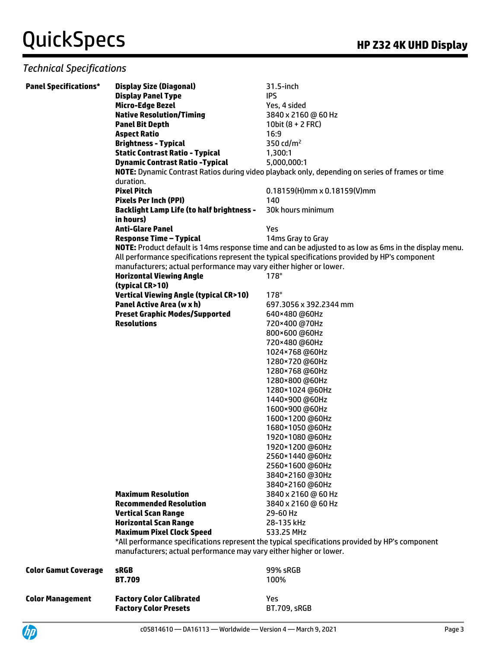| <b>Panel Specifications*</b> | <b>Display Size (Diagonal)</b><br><b>Display Panel Type</b>                   | 31.5-inch<br><b>IPS</b>                                                                               |
|------------------------------|-------------------------------------------------------------------------------|-------------------------------------------------------------------------------------------------------|
|                              | <b>Micro-Edge Bezel</b>                                                       | Yes, 4 sided                                                                                          |
|                              | <b>Native Resolution/Timing</b>                                               | 3840 x 2160 @ 60 Hz                                                                                   |
|                              | <b>Panel Bit Depth</b>                                                        | 10bit $(8 + 2$ FRC)                                                                                   |
|                              | <b>Aspect Ratio</b>                                                           | 16:9                                                                                                  |
|                              | <b>Brightness - Typical</b>                                                   | 350 cd/ $m2$                                                                                          |
|                              | <b>Static Contrast Ratio - Typical</b>                                        | 1,300:1                                                                                               |
|                              | <b>Dynamic Contrast Ratio - Typical</b>                                       | 5,000,000:1                                                                                           |
|                              |                                                                               | NOTE: Dynamic Contrast Ratios during video playback only, depending on series of frames or time       |
|                              | duration.                                                                     |                                                                                                       |
|                              | <b>Pixel Pitch</b>                                                            | $0.18159(H)$ mm x 0.18159(V)mm                                                                        |
|                              | <b>Pixels Per Inch (PPI)</b>                                                  | 140                                                                                                   |
|                              | <b>Backlight Lamp Life (to half brightness -</b>                              | 30k hours minimum                                                                                     |
|                              | in hours)                                                                     |                                                                                                       |
|                              | <b>Anti-Glare Panel</b>                                                       | Yes                                                                                                   |
|                              | <b>Response Time - Typical</b>                                                | 14ms Gray to Gray                                                                                     |
|                              |                                                                               | NOTE: Product default is 14ms response time and can be adjusted to as low as 6ms in the display menu. |
|                              |                                                                               | All performance specifications represent the typical specifications provided by HP's component        |
|                              | manufacturers; actual performance may vary either higher or lower.            | $178^\circ$                                                                                           |
|                              | <b>Horizontal Viewing Angle</b>                                               |                                                                                                       |
|                              | (typical CR>10)                                                               | $178^\circ$                                                                                           |
|                              | <b>Vertical Viewing Angle (typical CR&gt;10)</b><br>Panel Active Area (w x h) | 697.3056 x 392.2344 mm                                                                                |
|                              |                                                                               |                                                                                                       |
|                              | <b>Preset Graphic Modes/Supported</b><br><b>Resolutions</b>                   | 640×480 @60Hz<br>720×400 @70Hz                                                                        |
|                              |                                                                               | 800×600 @60Hz                                                                                         |
|                              |                                                                               | 720×480 @60Hz                                                                                         |
|                              |                                                                               | 1024×768 @60Hz                                                                                        |
|                              |                                                                               | 1280×720 @60Hz                                                                                        |
|                              |                                                                               | 1280×768@60Hz                                                                                         |
|                              |                                                                               | 1280×800 @60Hz                                                                                        |
|                              |                                                                               | 1280×1024 @60Hz                                                                                       |
|                              |                                                                               | 1440×900 @60Hz                                                                                        |
|                              |                                                                               | 1600×900 @60Hz                                                                                        |
|                              |                                                                               | 1600×1200@60Hz                                                                                        |
|                              |                                                                               | 1680×1050@60Hz                                                                                        |
|                              |                                                                               | 1920×1080@60Hz                                                                                        |
|                              |                                                                               | 1920×1200@60Hz                                                                                        |
|                              |                                                                               | 2560×1440 @60Hz                                                                                       |
|                              |                                                                               | 2560×1600@60Hz                                                                                        |
|                              |                                                                               | 3840×2160@30Hz                                                                                        |
|                              |                                                                               | 3840×2160 @60Hz                                                                                       |
|                              | <b>Maximum Resolution</b>                                                     | 3840 x 2160 @ 60 Hz                                                                                   |
|                              | <b>Recommended Resolution</b>                                                 | 3840 x 2160 @ 60 Hz                                                                                   |
|                              | <b>Vertical Scan Range</b>                                                    | 29-60 Hz                                                                                              |
|                              | <b>Horizontal Scan Range</b>                                                  | 28-135 kHz                                                                                            |
|                              | <b>Maximum Pixel Clock Speed</b>                                              | 533.25 MHz                                                                                            |
|                              |                                                                               | *All performance specifications represent the typical specifications provided by HP's component       |
|                              | manufacturers; actual performance may vary either higher or lower.            |                                                                                                       |
| <b>Color Gamut Coverage</b>  | <b>sRGB</b>                                                                   | 99% sRGB                                                                                              |
|                              | <b>BT.709</b>                                                                 | 100%                                                                                                  |
|                              |                                                                               |                                                                                                       |
| <b>Color Management</b>      | <b>Factory Color Calibrated</b>                                               | Yes                                                                                                   |
|                              | <b>Factory Color Presets</b>                                                  | <b>BT.709, sRGB</b>                                                                                   |
|                              |                                                                               |                                                                                                       |

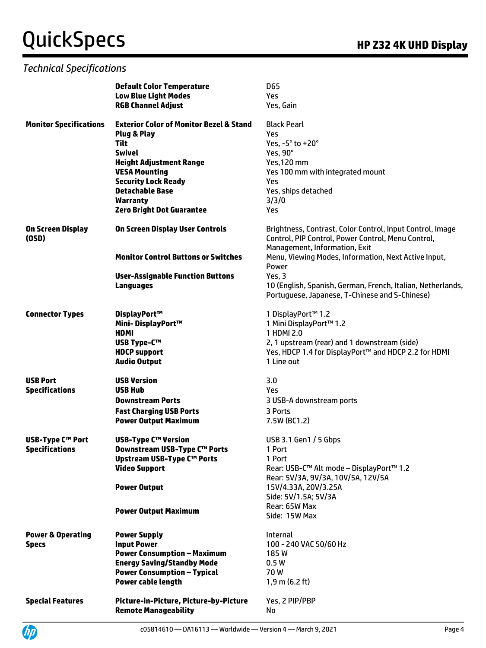|                               | <b>Default Color Temperature</b>                     | <b>D65</b>                                                  |
|-------------------------------|------------------------------------------------------|-------------------------------------------------------------|
|                               | <b>Low Blue Light Modes</b>                          | <b>Yes</b>                                                  |
|                               | <b>RGB Channel Adjust</b>                            | Yes, Gain                                                   |
|                               |                                                      |                                                             |
| <b>Monitor Specifications</b> | <b>Exterior Color of Monitor Bezel &amp; Stand</b>   | <b>Black Pearl</b>                                          |
|                               | Plug & Play                                          | Yes                                                         |
|                               | <b>Tilt</b>                                          | Yes, -5° to +20°                                            |
|                               | <b>Swivel</b>                                        | Yes, 90°                                                    |
|                               | <b>Height Adjustment Range</b>                       | Yes, 120 mm                                                 |
|                               | <b>VESA Mounting</b>                                 | Yes 100 mm with integrated mount                            |
|                               | <b>Security Lock Ready</b><br><b>Detachable Base</b> | Yes                                                         |
|                               |                                                      | Yes, ships detached                                         |
|                               | <b>Warranty</b>                                      | 3/3/0<br>Yes                                                |
|                               | <b>Zero Bright Dot Guarantee</b>                     |                                                             |
| On Screen Display             | <b>On Screen Display User Controls</b>               | Brightness, Contrast, Color Control, Input Control, Image   |
| (0SD)                         |                                                      | Control, PIP Control, Power Control, Menu Control,          |
|                               |                                                      | Management, Information, Exit                               |
|                               | <b>Monitor Control Buttons or Switches</b>           | Menu, Viewing Modes, Information, Next Active Input,        |
|                               |                                                      | Power                                                       |
|                               | <b>User-Assignable Function Buttons</b>              | Yes, 3                                                      |
|                               | Languages                                            | 10 (English, Spanish, German, French, Italian, Netherlands, |
|                               |                                                      | Portuguese, Japanese, T-Chinese and S-Chinese)              |
|                               |                                                      |                                                             |
| <b>Connector Types</b>        | DisplayPort™                                         | 1 DisplayPort™ 1.2                                          |
|                               | Mini-DisplayPort™                                    | 1 Mini DisplayPort™ 1.2                                     |
|                               | <b>HDMI</b>                                          | 1 HDMI 2.0                                                  |
|                               | <b>USB Type-C™</b>                                   | 2, 1 upstream (rear) and 1 downstream (side)                |
|                               | <b>HDCP</b> support                                  | Yes, HDCP 1.4 for DisplayPort™ and HDCP 2.2 for HDMI        |
|                               | <b>Audio Output</b>                                  | 1 Line out                                                  |
|                               |                                                      |                                                             |
| <b>USB Port</b>               | <b>USB Version</b>                                   | 3.0                                                         |
| <b>Specifications</b>         | <b>USB Hub</b>                                       | Yes                                                         |
|                               | <b>Downstream Ports</b>                              | 3 USB-A downstream ports                                    |
|                               | <b>Fast Charging USB Ports</b>                       | 3 Ports                                                     |
|                               | <b>Power Output Maximum</b>                          | 7.5W (BC1.2)                                                |
|                               |                                                      |                                                             |
| <b>USB-Type C™ Port</b>       | <b>USB-Type C™ Version</b>                           | USB 3.1 Gen1 / 5 Gbps                                       |
| <b>Specifications</b>         | Downstream USB-Type C™ Ports                         | 1 Port                                                      |
|                               | Upstream USB-Type C™ Ports                           | 1 Port                                                      |
|                               | <b>Video Support</b>                                 | Rear: USB-C™ Alt mode - DisplayPort™ 1.2                    |
|                               |                                                      | Rear: 5V/3A, 9V/3A, 10V/5A, 12V/5A                          |
|                               | <b>Power Output</b>                                  | 15V/4.33A, 20V/3.25A                                        |
|                               |                                                      | Side: 5V/1.5A; 5V/3A<br>Rear: 65W Max                       |
|                               | <b>Power Output Maximum</b>                          | Side: 15W Max                                               |
|                               |                                                      |                                                             |
| <b>Power &amp; Operating</b>  | <b>Power Supply</b>                                  | Internal                                                    |
| <b>Specs</b>                  | <b>Input Power</b>                                   | 100 - 240 VAC 50/60 Hz                                      |
|                               | <b>Power Consumption - Maximum</b>                   | 185W                                                        |
|                               | <b>Energy Saving/Standby Mode</b>                    | 0.5W                                                        |
|                               | <b>Power Consumption - Typical</b>                   | 70W                                                         |
|                               | <b>Power cable length</b>                            | $1,9$ m (6.2 ft)                                            |
|                               |                                                      |                                                             |
| <b>Special Features</b>       | Picture-in-Picture, Picture-by-Picture               | Yes, 2 PIP/PBP                                              |
|                               | <b>Remote Manageability</b>                          | No                                                          |

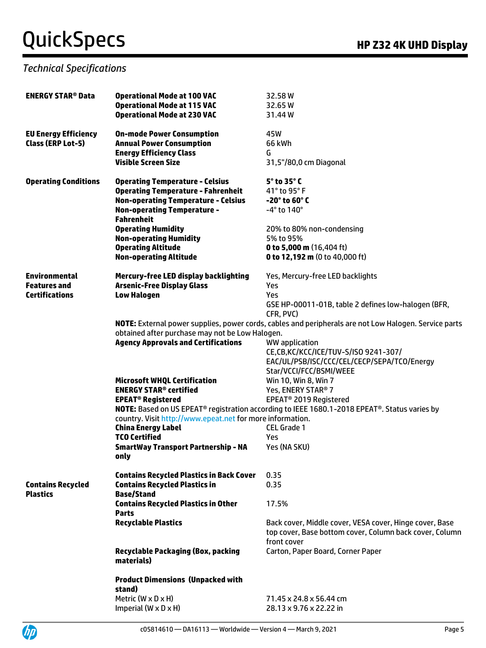| <b>ENERGY STAR® Data</b>    | <b>Operational Mode at 100 VAC</b>                        | 32.58W                                                                                                                |
|-----------------------------|-----------------------------------------------------------|-----------------------------------------------------------------------------------------------------------------------|
|                             | <b>Operational Mode at 115 VAC</b>                        | 32.65 W                                                                                                               |
|                             | <b>Operational Mode at 230 VAC</b>                        | 31.44W                                                                                                                |
| <b>EU Energy Efficiency</b> | <b>On-mode Power Consumption</b>                          | 45W                                                                                                                   |
| <b>Class (ERP Lot-5)</b>    | <b>Annual Power Consumption</b>                           | 66 kWh                                                                                                                |
|                             | <b>Energy Efficiency Class</b>                            | G                                                                                                                     |
|                             | <b>Visible Screen Size</b>                                | 31,5"/80,0 cm Diagonal                                                                                                |
| <b>Operating Conditions</b> | <b>Operating Temperature - Celsius</b>                    | 5° to 35° C                                                                                                           |
|                             | <b>Operating Temperature - Fahrenheit</b>                 | 41° to 95° F                                                                                                          |
|                             | <b>Non-operating Temperature - Celsius</b>                | $-20^\circ$ to 60 $^\circ$ C                                                                                          |
|                             | <b>Non-operating Temperature -</b><br><b>Fahrenheit</b>   | $-4^\circ$ to 140 $^\circ$                                                                                            |
|                             | <b>Operating Humidity</b>                                 | 20% to 80% non-condensing                                                                                             |
|                             | <b>Non-operating Humidity</b>                             | 5% to 95%                                                                                                             |
|                             | <b>Operating Altitude</b>                                 | 0 to 5,000 m (16,404 ft)                                                                                              |
|                             | <b>Non-operating Altitude</b>                             | 0 to 12,192 m (0 to 40,000 ft)                                                                                        |
| <b>Environmental</b>        | Mercury-free LED display backlighting                     | Yes, Mercury-free LED backlights                                                                                      |
| <b>Features and</b>         | <b>Arsenic-Free Display Glass</b>                         | Yes                                                                                                                   |
| <b>Certifications</b>       | <b>Low Halogen</b>                                        | Yes                                                                                                                   |
|                             |                                                           | GSE HP-00011-01B, table 2 defines low-halogen (BFR,<br>CFR, PVC)                                                      |
|                             |                                                           | NOTE: External power supplies, power cords, cables and peripherals are not Low Halogen. Service parts                 |
|                             | obtained after purchase may not be Low Halogen.           |                                                                                                                       |
|                             | <b>Agency Approvals and Certifications</b>                | WW application                                                                                                        |
|                             |                                                           | CE,CB,KC/KCC/ICE/TUV-S/ISO 9241-307/                                                                                  |
|                             |                                                           | EAC/UL/PSB/ISC/CCC/CEL/CECP/SEPA/TCO/Energy<br>Star/VCCI/FCC/BSMI/WEEE                                                |
|                             | <b>Microsoft WHQL Certification</b>                       | Win 10, Win 8, Win 7                                                                                                  |
|                             | <b>ENERGY STAR<sup>®</sup> certified</b>                  | Yes, ENERY STAR® 7                                                                                                    |
|                             | <b>EPEAT<sup>®</sup> Registered</b>                       | EPEAT <sup>®</sup> 2019 Registered                                                                                    |
|                             |                                                           | NOTE: Based on US EPEAT <sup>®</sup> registration according to IEEE 1680.1-2018 EPEAT <sup>®</sup> . Status varies by |
|                             | country. Visit http://www.epeat.net for more information. |                                                                                                                       |
|                             | <b>China Energy Label</b>                                 | <b>CEL Grade 1</b>                                                                                                    |
|                             | <b>TCO Certified</b>                                      | Yes                                                                                                                   |
|                             | <b>SmartWay Transport Partnership - NA</b><br>only        | Yes (NA SKU)                                                                                                          |
|                             | <b>Contains Recycled Plastics in Back Cover</b>           | 0.35                                                                                                                  |
| <b>Contains Recycled</b>    | <b>Contains Recycled Plastics in</b>                      | 0.35                                                                                                                  |
| <b>Plastics</b>             | <b>Base/Stand</b>                                         |                                                                                                                       |
|                             | <b>Contains Recycled Plastics in Other</b>                | 17.5%                                                                                                                 |
|                             | <b>Parts</b>                                              |                                                                                                                       |
|                             | <b>Recyclable Plastics</b>                                | Back cover, Middle cover, VESA cover, Hinge cover, Base<br>top cover, Base bottom cover, Column back cover, Column    |
|                             |                                                           | front cover                                                                                                           |
|                             | <b>Recyclable Packaging (Box, packing</b><br>materials)   | Carton, Paper Board, Corner Paper                                                                                     |
|                             | <b>Product Dimensions (Unpacked with</b>                  |                                                                                                                       |
|                             | stand)                                                    |                                                                                                                       |
|                             | Metric ( $W \times D \times H$ )                          | 71.45 x 24.8 x 56.44 cm                                                                                               |
|                             | Imperial $(W \times D \times H)$                          | 28.13 x 9.76 x 22.22 in                                                                                               |

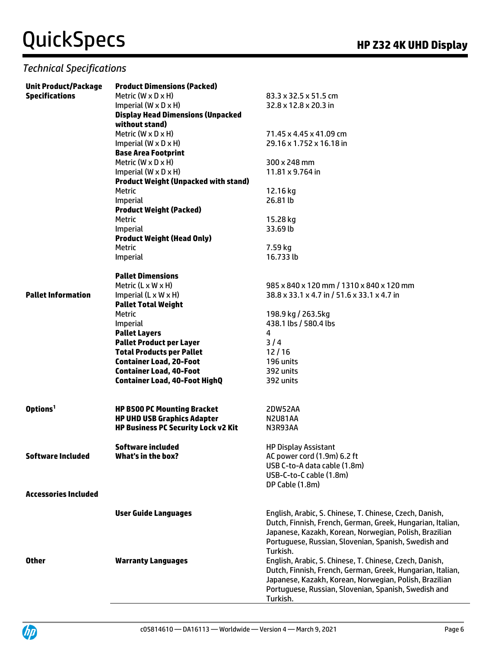| <b>Unit Product/Package</b> | <b>Product Dimensions (Packed)</b>          |                                                            |
|-----------------------------|---------------------------------------------|------------------------------------------------------------|
| <b>Specifications</b>       | Metric (W $\times$ D $\times$ H)            | 83.3 x 32.5 x 51.5 cm                                      |
|                             | Imperial $(W \times D \times H)$            | 32.8 x 12.8 x 20.3 in                                      |
|                             | <b>Display Head Dimensions (Unpacked</b>    |                                                            |
|                             | without stand)                              |                                                            |
|                             | Metric $(W \times D \times H)$              | 71.45 x 4.45 x 41.09 cm                                    |
|                             | Imperial $(W \times D \times H)$            | 29.16 x 1.752 x 16.18 in                                   |
|                             | <b>Base Area Footprint</b>                  |                                                            |
|                             | Metric ( $W \times D \times H$ )            | 300 x 248 mm                                               |
|                             | Imperial $(W \times D \times H)$            | 11.81 x 9.764 in                                           |
|                             | <b>Product Weight (Unpacked with stand)</b> |                                                            |
|                             | <b>Metric</b>                               | 12.16 kg                                                   |
|                             | Imperial                                    | 26.81 lb                                                   |
|                             | <b>Product Weight (Packed)</b>              |                                                            |
|                             | Metric                                      | 15.28 kg                                                   |
|                             | Imperial                                    | 33.69 lb                                                   |
|                             | <b>Product Weight (Head Only)</b>           |                                                            |
|                             | Metric                                      | 7.59 kg                                                    |
|                             | Imperial                                    | 16.733 lb                                                  |
|                             |                                             |                                                            |
|                             | <b>Pallet Dimensions</b>                    |                                                            |
|                             | Metric $(L \times W \times H)$              | 985 x 840 x 120 mm / 1310 x 840 x 120 mm                   |
| <b>Pallet Information</b>   | Imperial $(L \times W \times H)$            | 38.8 x 33.1 x 4.7 in / 51.6 x 33.1 x 4.7 in                |
|                             | <b>Pallet Total Weight</b>                  |                                                            |
|                             | <b>Metric</b>                               | 198.9 kg / 263.5kg                                         |
|                             | Imperial                                    | 438.1 lbs / 580.4 lbs                                      |
|                             | <b>Pallet Layers</b>                        | 4                                                          |
|                             | <b>Pallet Product per Layer</b>             | 3/4                                                        |
|                             | <b>Total Products per Pallet</b>            | 12/16                                                      |
|                             | <b>Container Load, 20-Foot</b>              | 196 units                                                  |
|                             | <b>Container Load, 40-Foot</b>              | 392 units                                                  |
|                             | <b>Container Load, 40-Foot HighQ</b>        | 392 units                                                  |
| Options <sup>1</sup>        | <b>HP B500 PC Mounting Bracket</b>          | 2DW52AA                                                    |
|                             | <b>HP UHD USB Graphics Adapter</b>          | <b>N2U81AA</b>                                             |
|                             | <b>HP Business PC Security Lock v2 Kit</b>  | N3R93AA                                                    |
|                             |                                             |                                                            |
|                             | Software included                           | <b>HP Display Assistant</b>                                |
| <b>Software Included</b>    | What's in the box?                          | AC power cord (1.9m) 6.2 ft                                |
|                             |                                             | USB C-to-A data cable (1.8m)                               |
|                             |                                             | USB-C-to-C cable (1.8m)                                    |
|                             |                                             | DP Cable (1.8m)                                            |
| <b>Accessories Included</b> |                                             |                                                            |
|                             | <b>User Guide Languages</b>                 | English, Arabic, S. Chinese, T. Chinese, Czech, Danish,    |
|                             |                                             | Dutch, Finnish, French, German, Greek, Hungarian, Italian, |
|                             |                                             | Japanese, Kazakh, Korean, Norwegian, Polish, Brazilian     |
|                             |                                             | Portuguese, Russian, Slovenian, Spanish, Swedish and       |
|                             |                                             | Turkish.                                                   |
| <b>Other</b>                | <b>Warranty Languages</b>                   | English, Arabic, S. Chinese, T. Chinese, Czech, Danish,    |
|                             |                                             | Dutch, Finnish, French, German, Greek, Hungarian, Italian, |
|                             |                                             | Japanese, Kazakh, Korean, Norwegian, Polish, Brazilian     |
|                             |                                             | Portuguese, Russian, Slovenian, Spanish, Swedish and       |
|                             |                                             | Turkish.                                                   |

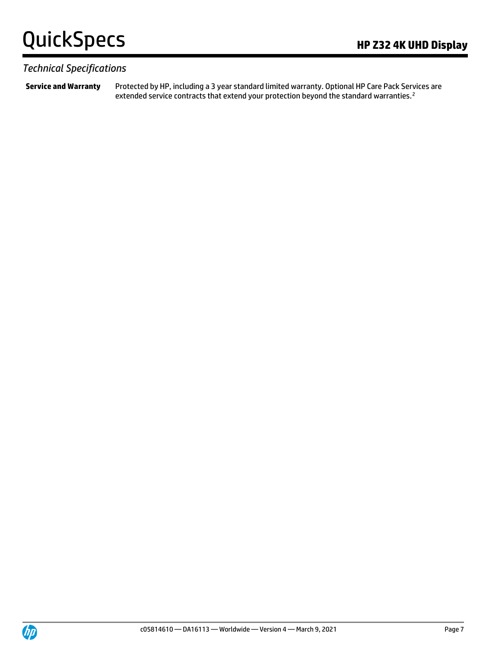#### *Technical Specifications*

**Service and Warranty** Protected by HP, including a 3 year standard limited warranty. Optional HP Care Pack Services are extended service contracts that extend your protection beyond the standard warranties.<sup>2</sup>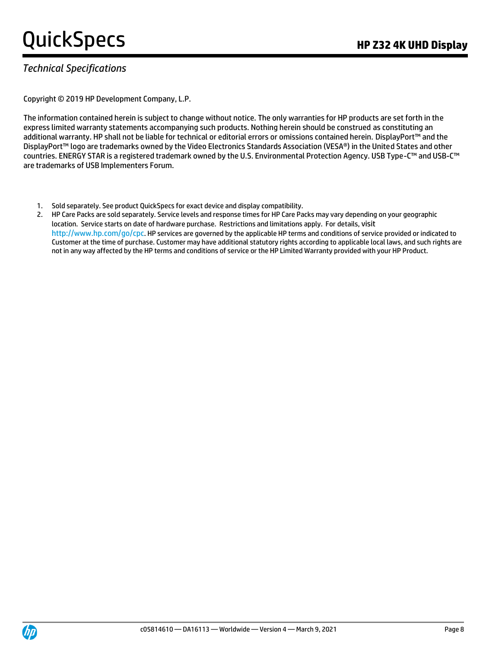### *Technical Specifications*

Copyright © 2019 HP Development Company, L.P.

The information contained herein is subject to change without notice. The only warranties for HP products are set forth in the express limited warranty statements accompanying such products. Nothing herein should be construed as constituting an additional warranty. HP shall not be liable for technical or editorial errors or omissions contained herein. DisplayPort™ and the DisplayPort™ logo are trademarks owned by the Video Electronics Standards Association (VESA®) in the United States and other countries. ENERGY STAR is a registered trademark owned by the U.S. Environmental Protection Agency. USB Type-C™ and USB-C™ are trademarks of USB Implementers Forum.

- 1. Sold separately. See product QuickSpecs for exact device and display compatibility.
- 2. HP Care Packs are sold separately. Service levels and response times for HP Care Packs may vary depending on your geographic location. Service starts on date of hardware purchase. Restrictions and limitations apply. For details, visit http://www.hp.com/go/cpc. HP services are governed by the applicable HP terms and conditions of service provided or indicated to Customer at the time of purchase. Customer may have additional statutory rights according to applicable local laws, and such rights are not in any way affected by the HP terms and conditions of service or the HP Limited Warranty provided with your HP Product.